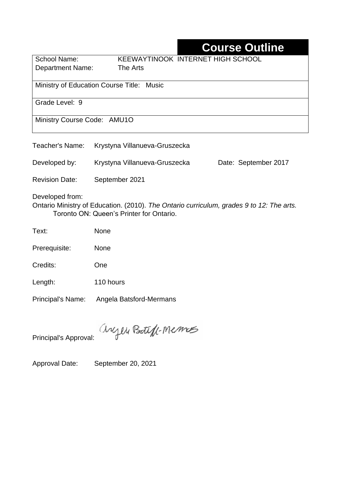# **Course Outline**

| <b>KEEWAYTINOOK INTERNET HIGH SCHOOL</b>  |  |  |  |  |  |
|-------------------------------------------|--|--|--|--|--|
| The Arts                                  |  |  |  |  |  |
|                                           |  |  |  |  |  |
| Ministry of Education Course Title: Music |  |  |  |  |  |
|                                           |  |  |  |  |  |
|                                           |  |  |  |  |  |
|                                           |  |  |  |  |  |
| Ministry Course Code: AMU1O               |  |  |  |  |  |
|                                           |  |  |  |  |  |
|                                           |  |  |  |  |  |

| Teacher's Name:       | Krystyna Villanueva-Gruszecka                                                                                                        |                      |
|-----------------------|--------------------------------------------------------------------------------------------------------------------------------------|----------------------|
| Developed by:         | Krystyna Villanueva-Gruszecka                                                                                                        | Date: September 2017 |
| <b>Revision Date:</b> | September 2021                                                                                                                       |                      |
| Developed from:       | Ontario Ministry of Education. (2010). The Ontario curriculum, grades 9 to 12: The arts.<br>Toronto ON: Queen's Printer for Ontario. |                      |

Text: None

Prerequisite: None

Credits: One

Length: 110 hours

Principal's Name: Angela Batsford-Mermans

anyen Boteft-Memos

Principal's Approval:

Approval Date: September 20, 2021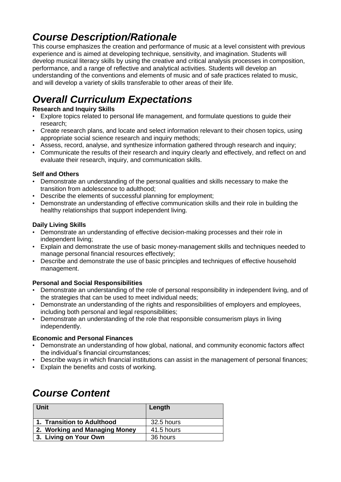## *Course Description/Rationale*

This course emphasizes the creation and performance of music at a level consistent with previous experience and is aimed at developing technique, sensitivity, and imagination. Students will develop musical literacy skills by using the creative and critical analysis processes in composition, performance, and a range of reflective and analytical activities. Students will develop an understanding of the conventions and elements of music and of safe practices related to music, and will develop a variety of skills transferable to other areas of their life.

# *Overall Curriculum Expectations*

### **Research and Inquiry Skills**

- Explore topics related to personal life management, and formulate questions to guide their research;
- Create research plans, and locate and select information relevant to their chosen topics, using appropriate social science research and inquiry methods;
- Assess, record, analyse, and synthesize information gathered through research and inquiry;
- Communicate the results of their research and inquiry clearly and effectively, and reflect on and evaluate their research, inquiry, and communication skills.

### **Self and Others**

- Demonstrate an understanding of the personal qualities and skills necessary to make the transition from adolescence to adulthood;
- Describe the elements of successful planning for employment;
- Demonstrate an understanding of effective communication skills and their role in building the healthy relationships that support independent living.

### **Daily Living Skills**

- Demonstrate an understanding of effective decision-making processes and their role in independent living;
- Explain and demonstrate the use of basic money-management skills and techniques needed to manage personal financial resources effectively;
- Describe and demonstrate the use of basic principles and techniques of effective household management.

### **Personal and Social Responsibilities**

- Demonstrate an understanding of the role of personal responsibility in independent living, and of the strategies that can be used to meet individual needs;
- Demonstrate an understanding of the rights and responsibilities of employers and employees, including both personal and legal responsibilities;
- Demonstrate an understanding of the role that responsible consumerism plays in living independently.

### **Economic and Personal Finances**

- Demonstrate an understanding of how global, national, and community economic factors affect the individual's financial circumstances;
- Describe ways in which financial institutions can assist in the management of personal finances;
- Explain the benefits and costs of working.

## *Course Content*

| Unit                          | Length     |
|-------------------------------|------------|
| 1. Transition to Adulthood    | 32.5 hours |
| 2. Working and Managing Money | 41.5 hours |
| 3. Living on Your Own         | 36 hours   |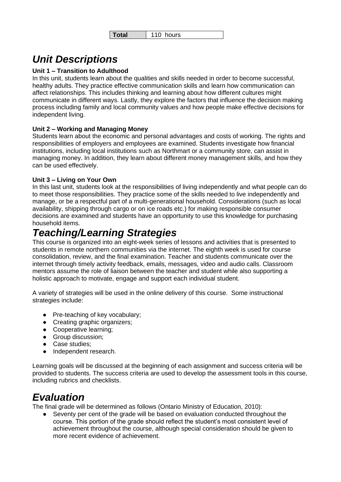## *Unit Descriptions*

#### **Unit 1 – Transition to Adulthood**

In this unit, students learn about the qualities and skills needed in order to become successful, healthy adults. They practice effective communication skills and learn how communication can affect relationships. This includes thinking and learning about how different cultures might communicate in different ways. Lastly, they explore the factors that influence the decision making process including family and local community values and how people make effective decisions for independent living.

#### **Unit 2 – Working and Managing Money**

Students learn about the economic and personal advantages and costs of working. The rights and responsibilities of employers and employees are examined. Students investigate how financial institutions, including local institutions such as Northmart or a community store, can assist in managing money. In addition, they learn about different money management skills, and how they can be used effectively.

#### **Unit 3 – Living on Your Own**

In this last unit, students look at the responsibilities of living independently and what people can do to meet those responsibilities. They practice some of the skills needed to live independently and manage, or be a respectful part of a multi-generational household. Considerations (such as local availability, shipping through cargo or on ice roads etc.) for making responsible consumer decisions are examined and students have an opportunity to use this knowledge for purchasing household items.

## *Teaching/Learning Strategies*

This course is organized into an eight-week series of lessons and activities that is presented to students in remote northern communities via the internet. The eighth week is used for course consolidation, review, and the final examination. Teacher and students communicate over the internet through timely activity feedback, emails, messages, video and audio calls. Classroom mentors assume the role of liaison between the teacher and student while also supporting a holistic approach to motivate, engage and support each individual student.

A variety of strategies will be used in the online delivery of this course. Some instructional strategies include:

- Pre-teaching of key vocabulary;
- Creating graphic organizers;
- Cooperative learning;
- Group discussion;
- Case studies;
- Independent research.

Learning goals will be discussed at the beginning of each assignment and success criteria will be provided to students. The success criteria are used to develop the assessment tools in this course, including rubrics and checklists.

### *Evaluation*

The final grade will be determined as follows (Ontario Ministry of Education, 2010):

Seventy per cent of the grade will be based on evaluation conducted throughout the course. This portion of the grade should reflect the student's most consistent level of achievement throughout the course, although special consideration should be given to more recent evidence of achievement.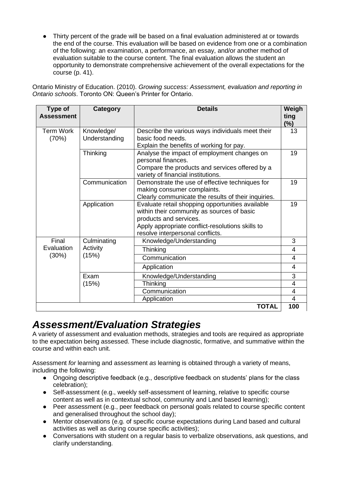● Thirty percent of the grade will be based on a final evaluation administered at or towards the end of the course. This evaluation will be based on evidence from one or a combination of the following: an examination, a performance, an essay, and/or another method of evaluation suitable to the course content. The final evaluation allows the student an opportunity to demonstrate comprehensive achievement of the overall expectations for the course (p. 41).

Ontario Ministry of Education. (2010). *Growing success: Assessment, evaluation and reporting in Ontario schools*. Toronto ON: Queen's Printer for Ontario.

| Type of<br><b>Assessment</b> | <b>Category</b>             | <b>Details</b>                                      | Weigh<br>ting           |
|------------------------------|-----------------------------|-----------------------------------------------------|-------------------------|
|                              |                             |                                                     | $(\%)$                  |
| <b>Term Work</b><br>(70%)    | Knowledge/<br>Understanding | Describe the various ways individuals meet their    | 13                      |
|                              |                             | basic food needs.                                   |                         |
|                              |                             | Explain the benefits of working for pay.            |                         |
|                              | Thinking                    | Analyse the impact of employment changes on         | 19                      |
|                              |                             | personal finances.                                  |                         |
|                              |                             | Compare the products and services offered by a      |                         |
|                              |                             | variety of financial institutions.                  |                         |
|                              | Communication               | Demonstrate the use of effective techniques for     | 19                      |
|                              |                             | making consumer complaints.                         |                         |
|                              |                             | Clearly communicate the results of their inquiries. |                         |
|                              | Application                 | Evaluate retail shopping opportunities available    | 19                      |
|                              |                             | within their community as sources of basic          |                         |
|                              |                             | products and services.                              |                         |
|                              |                             | Apply appropriate conflict-resolutions skills to    |                         |
|                              |                             | resolve interpersonal conflicts.                    |                         |
| Final                        | Culminating                 | Knowledge/Understanding                             | 3                       |
| Evaluation<br>(30%)          | Activity                    | Thinking                                            | $\overline{4}$          |
|                              | (15%)                       | Communication                                       | $\overline{4}$          |
|                              |                             | Application                                         | 4                       |
|                              | Exam                        | Knowledge/Understanding                             | 3                       |
|                              | (15%)                       | Thinking                                            | $\overline{\mathbf{4}}$ |
|                              |                             | Communication                                       | 4                       |
|                              |                             | Application                                         | 4                       |
|                              |                             | <b>TOTAL</b>                                        | 100                     |

### *Assessment/Evaluation Strategies*

A variety of assessment and evaluation methods, strategies and tools are required as appropriate to the expectation being assessed. These include diagnostic, formative, and summative within the course and within each unit.

Assessment *for* learning and assessment *as* learning is obtained through a variety of means, including the following:

- Ongoing descriptive feedback (e.g., descriptive feedback on students' plans for the class celebration);
- Self-assessment (e.g., weekly self-assessment of learning, relative to specific course content as well as in contextual school, community and Land based learning);
- Peer assessment (e.g., peer feedback on personal goals related to course specific content and generalised throughout the school day);
- Mentor observations (e.g. of specific course expectations during Land based and cultural activities as well as during course specific activities);
- Conversations with student on a regular basis to verbalize observations, ask questions, and clarify understanding.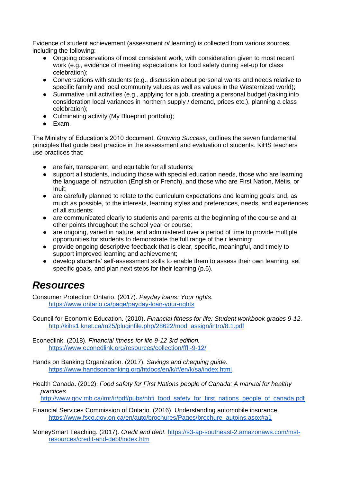Evidence of student achievement (assessment *of* learning) is collected from various sources, including the following:

- Ongoing observations of most consistent work, with consideration given to most recent work (e.g., evidence of meeting expectations for food safety during set-up for class celebration);
- Conversations with students (e.g., discussion about personal wants and needs relative to specific family and local community values as well as values in the Westernized world);
- Summative unit activities (e.g., applying for a job, creating a personal budget (taking into consideration local variances in northern supply / demand, prices etc.), planning a class celebration);
- Culminating activity (My Blueprint portfolio);
- Exam.

The Ministry of Education's 2010 document, *Growing Success*, outlines the seven fundamental principles that guide best practice in the assessment and evaluation of students. KiHS teachers use practices that:

- are fair, transparent, and equitable for all students:
- support all students, including those with special education needs, those who are learning the language of instruction (English or French), and those who are First Nation, Métis, or Inuit;
- are carefully planned to relate to the curriculum expectations and learning goals and, as much as possible, to the interests, learning styles and preferences, needs, and experiences of all students;
- are communicated clearly to students and parents at the beginning of the course and at other points throughout the school year or course;
- are ongoing, varied in nature, and administered over a period of time to provide multiple opportunities for students to demonstrate the full range of their learning;
- provide ongoing descriptive feedback that is clear, specific, meaningful, and timely to support improved learning and achievement;
- develop students' self-assessment skills to enable them to assess their own learning, set specific goals, and plan next steps for their learning (p.6).

### *Resources*

Consumer Protection Ontario. (2017). *Payday loans: Your rights.*  <https://www.ontario.ca/page/payday-loan-your-rights>

Council for Economic Education. (2010). *Financial fitness for life: Student workbook grades 9-12*. [http://kihs1.knet.ca/m25/pluginfile.php/28622/mod\\_assign/intro/8.1.pdf](http://kihs1.knet.ca/m25/pluginfile.php/28622/mod_assign/intro/8.1.pdf) 

- Econedlink. (2018). *Financial fitness for life 9-12 3rd edition.*  <https://www.econedlink.org/resources/collection/fffl-9-12/>
- Hands on Banking Organization. (2017). *Savings and chequing guide.*  <https://www.handsonbanking.org/htdocs/en/k/#/en/k/sa/index.html>
- Health Canada. (2012). *Food safety for First Nations people of Canada: A manual for healthy practices.*  [http://www.gov.mb.ca/imr/ir/pdf/pubs/nhfi\\_food\\_safety\\_for\\_first\\_nations\\_people\\_of\\_canada.pdf](http://www.gov.mb.ca/imr/ir/pdf/pubs/nhfi_food_safety_for_first_nations_people_of_canada.pdf)

Financial Services Commission of Ontario. (2016). Understanding automobile insurance. [https://www.fsco.gov.on.ca/en/auto/brochures/Pages/brochure\\_autoins.aspx#a1](https://www.fsco.gov.on.ca/en/auto/brochures/Pages/brochure_autoins.aspx#a1)

MoneySmart Teaching. (2017). *Credit and debt.* [https://s3-ap-southeast-2.amazonaws.com/mst](https://s3-ap-southeast-2.amazonaws.com/mst-resources/credit-and-debt/index.htm)[resources/credit-and-debt/index.htm](https://s3-ap-southeast-2.amazonaws.com/mst-resources/credit-and-debt/index.htm)